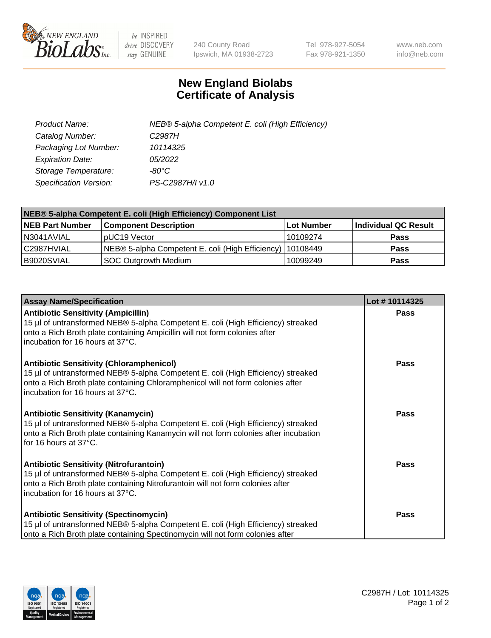

 $be$  INSPIRED drive DISCOVERY stay GENUINE

240 County Road Ipswich, MA 01938-2723 Tel 978-927-5054 Fax 978-921-1350 www.neb.com info@neb.com

## **New England Biolabs Certificate of Analysis**

| Product Name:           | NEB® 5-alpha Competent E. coli (High Efficiency) |
|-------------------------|--------------------------------------------------|
| Catalog Number:         | C <sub>2987</sub> H                              |
| Packaging Lot Number:   | 10114325                                         |
| <b>Expiration Date:</b> | <i>05/2022</i>                                   |
| Storage Temperature:    | -80°C                                            |
| Specification Version:  | PS-C2987H/I v1.0                                 |

| NEB® 5-alpha Competent E. coli (High Efficiency) Component List |                                                             |            |                      |  |
|-----------------------------------------------------------------|-------------------------------------------------------------|------------|----------------------|--|
| <b>NEB Part Number</b>                                          | <b>Component Description</b>                                | Lot Number | Individual QC Result |  |
| N3041AVIAL                                                      | pUC19 Vector                                                | 10109274   | <b>Pass</b>          |  |
| C2987HVIAL                                                      | NEB® 5-alpha Competent E. coli (High Efficiency)   10108449 |            | <b>Pass</b>          |  |
| B9020SVIAL                                                      | <b>SOC Outgrowth Medium</b>                                 | 10099249   | <b>Pass</b>          |  |

| <b>Assay Name/Specification</b>                                                                                                                                                                                                                            | Lot #10114325 |
|------------------------------------------------------------------------------------------------------------------------------------------------------------------------------------------------------------------------------------------------------------|---------------|
| <b>Antibiotic Sensitivity (Ampicillin)</b><br>15 µl of untransformed NEB® 5-alpha Competent E. coli (High Efficiency) streaked<br>onto a Rich Broth plate containing Ampicillin will not form colonies after<br>incubation for 16 hours at 37°C.           | <b>Pass</b>   |
| <b>Antibiotic Sensitivity (Chloramphenicol)</b><br>15 µl of untransformed NEB® 5-alpha Competent E. coli (High Efficiency) streaked<br>onto a Rich Broth plate containing Chloramphenicol will not form colonies after<br>incubation for 16 hours at 37°C. | Pass          |
| Antibiotic Sensitivity (Kanamycin)<br>15 µl of untransformed NEB® 5-alpha Competent E. coli (High Efficiency) streaked<br>onto a Rich Broth plate containing Kanamycin will not form colonies after incubation<br>for 16 hours at 37°C.                    | Pass          |
| <b>Antibiotic Sensitivity (Nitrofurantoin)</b><br>15 µl of untransformed NEB® 5-alpha Competent E. coli (High Efficiency) streaked<br>onto a Rich Broth plate containing Nitrofurantoin will not form colonies after<br>incubation for 16 hours at 37°C.   | <b>Pass</b>   |
| <b>Antibiotic Sensitivity (Spectinomycin)</b><br>15 µl of untransformed NEB® 5-alpha Competent E. coli (High Efficiency) streaked<br>onto a Rich Broth plate containing Spectinomycin will not form colonies after                                         | Pass          |